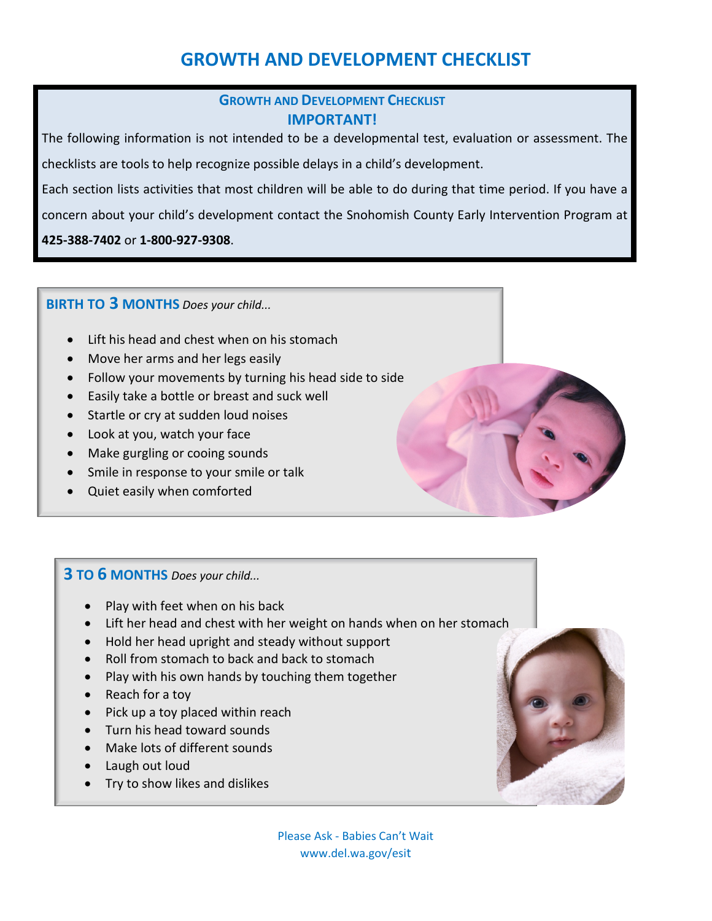#### **GROWTH AND DEVELOPMENT CHECKLIST IMPORTANT!**

The following information is not intended to be a developmental test, evaluation or assessment. The checklists are tools to help recognize possible delays in a child's development.

Each section lists activities that most children will be able to do during that time period. If you have a

concern about your child's development contact the Snohomish County Early Intervention Program at

**425-388-7402** or **1-800-927-9308**.

#### **BIRTH TO 3 MONTHS** *Does your child...*

- Lift his head and chest when on his stomach
- Move her arms and her legs easily
- Follow your movements by turning his head side to side
- Easily take a bottle or breast and suck well
- Startle or cry at sudden loud noises
- Look at you, watch your face
- Make gurgling or cooing sounds
- Smile in response to your smile or talk
- Quiet easily when comforted

### **3 TO 6 MONTHS** *Does your child...*

- Play with feet when on his back
- Lift her head and chest with her weight on hands when on her stomach
- Hold her head upright and steady without support
- Roll from stomach to back and back to stomach
- Play with his own hands by touching them together
- Reach for a toy
- Pick up a toy placed within reach
- Turn his head toward sounds
- Make lots of different sounds
- Laugh out loud
- Try to show likes and dislikes

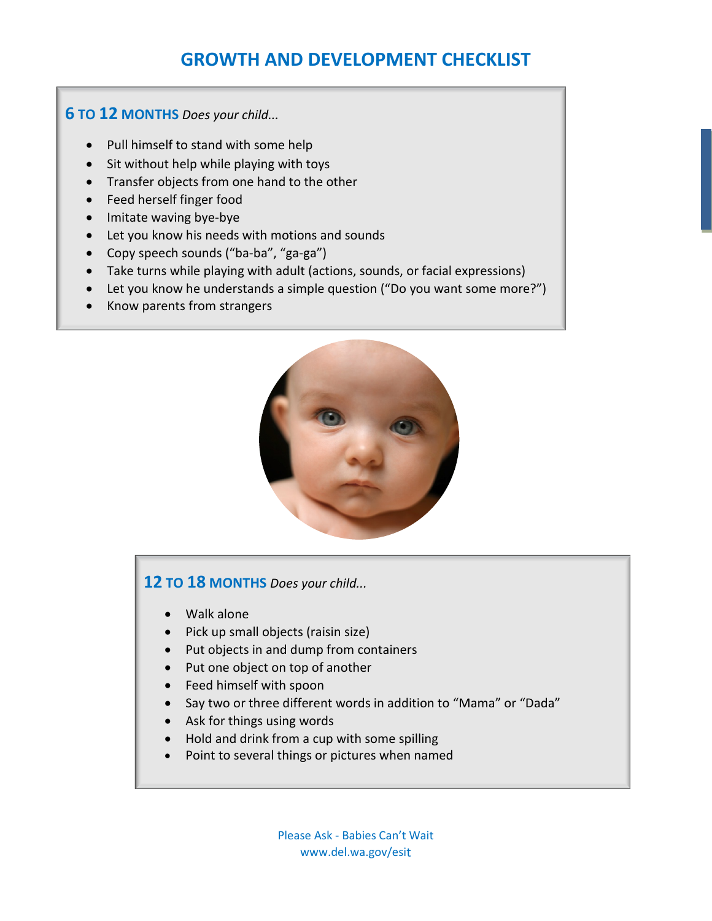**6 TO 12 MONTHS** *Does your child...*

- Pull himself to stand with some help
- Sit without help while playing with toys
- Transfer objects from one hand to the other
- Feed herself finger food
- Imitate waving bye-bye
- Let you know his needs with motions and sounds
- Copy speech sounds ("ba-ba", "ga-ga")
- Take turns while playing with adult (actions, sounds, or facial expressions)
- Let you know he understands a simple question ("Do you want some more?")
- Know parents from strangers



### **12 TO 18 MONTHS** *Does your child...*

- Walk alone
- Pick up small objects (raisin size)
- Put objects in and dump from containers
- Put one object on top of another
- Feed himself with spoon
- Say two or three different words in addition to "Mama" or "Dada"
- Ask for things using words
- Hold and drink from a cup with some spilling
- Point to several things or pictures when named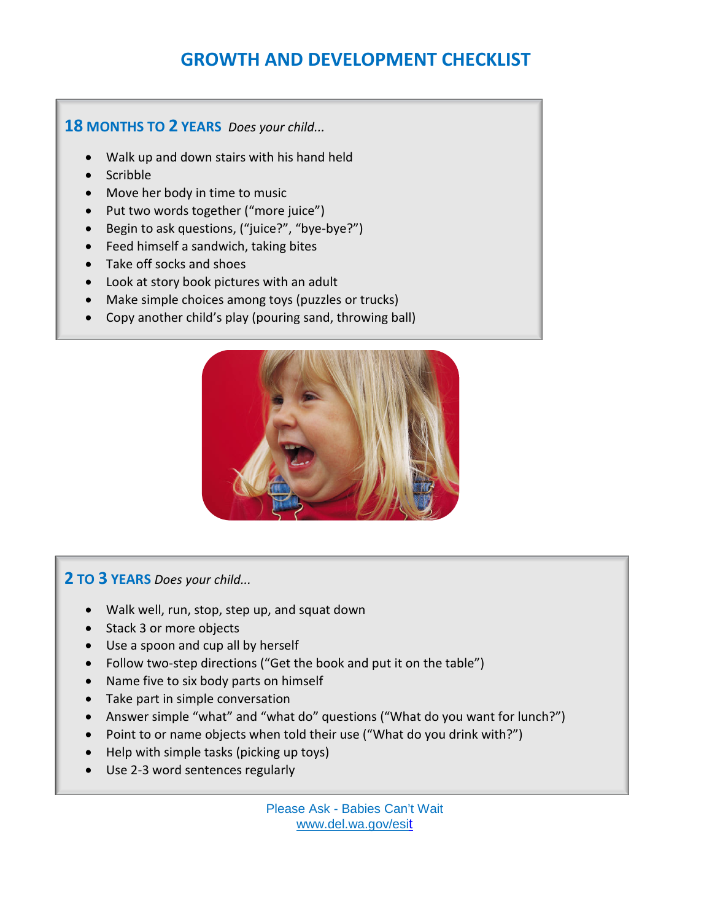#### **18 MONTHS TO 2 YEARS** *Does your child...*

- Walk up and down stairs with his hand held
- Scribble
- Move her body in time to music
- Put two words together ("more juice")
- Begin to ask questions, ("juice?", "bye-bye?")
- Feed himself a sandwich, taking bites
- Take off socks and shoes
- Look at story book pictures with an adult
- Make simple choices among toys (puzzles or trucks)
- Copy another child's play (pouring sand, throwing ball)



### **2 TO 3 YEARS** *Does your child...*

- Walk well, run, stop, step up, and squat down
- Stack 3 or more objects
- Use a spoon and cup all by herself
- Follow two-step directions ("Get the book and put it on the table")
- Name five to six body parts on himself
- Take part in simple conversation
- Answer simple "what" and "what do" questions ("What do you want for lunch?")
- Point to or name objects when told their use ("What do you drink with?")
- Help with simple tasks (picking up toys)
- Use 2-3 word sentences regularly